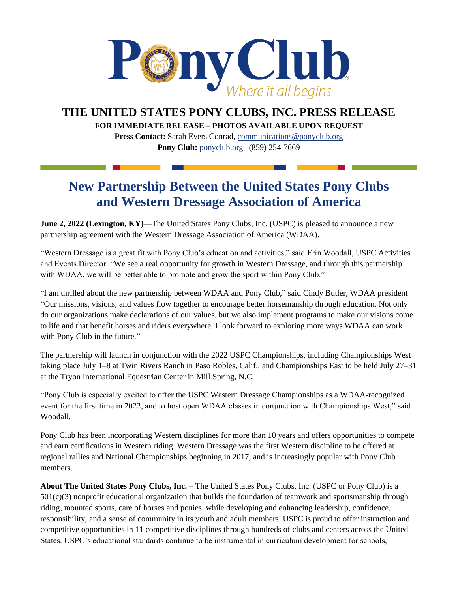

## **THE UNITED STATES PONY CLUBS, INC. PRESS RELEASE**

**FOR IMMEDIATE RELEASE** – **PHOTOS AVAILABLE UPON REQUEST** 

**Press Contact:** Sarah Evers Conrad, [communications@ponyclub.org](mailto:communications@ponyclub.org) **Pony Club:** [ponyclub.org](https://www.ponyclub.org/) | (859) 254-7669

## **New Partnership Between the United States Pony Clubs and Western Dressage Association of America**

**June 2, 2022 (Lexington, KY)—The United States Pony Clubs, Inc. (USPC) is pleased to announce a new** partnership agreement with the Western Dressage Association of America (WDAA).

"Western Dressage is a great fit with Pony Club's education and activities," said Erin Woodall, USPC Activities and Events Director. "We see a real opportunity for growth in Western Dressage, and through this partnership with WDAA, we will be better able to promote and grow the sport within Pony Club."

"I am thrilled about the new partnership between WDAA and Pony Club," said Cindy Butler, WDAA president "Our missions, visions, and values flow together to encourage better horsemanship through education. Not only do our organizations make declarations of our values, but we also implement programs to make our visions come to life and that benefit horses and riders everywhere. I look forward to exploring more ways WDAA can work with Pony Club in the future."

The partnership will launch in conjunction with the 2022 USPC Championships, including Championships West taking place July 1–8 at Twin Rivers Ranch in Paso Robles, Calif., and Championships East to be held July 27–31 at the Tryon International Equestrian Center in Mill Spring, N.C.

"Pony Club is especially excited to offer the USPC Western Dressage Championships as a WDAA-recognized event for the first time in 2022, and to host open WDAA classes in conjunction with Championships West," said Woodall.

Pony Club has been incorporating Western disciplines for more than 10 years and offers opportunities to compete and earn certifications in Western riding. Western Dressage was the first Western discipline to be offered at regional rallies and National Championships beginning in 2017, and is increasingly popular with Pony Club members.

**About The United States Pony Clubs, Inc.** – The United States Pony Clubs, Inc. (USPC or Pony Club) is a 501(c)(3) nonprofit educational organization that builds the foundation of teamwork and sportsmanship through riding, mounted sports, care of horses and ponies, while developing and enhancing leadership, confidence, responsibility, and a sense of community in its youth and adult members. USPC is proud to offer instruction and competitive opportunities in 11 competitive disciplines through hundreds of clubs and centers across the United States. USPC's educational standards continue to be instrumental in curriculum development for schools,